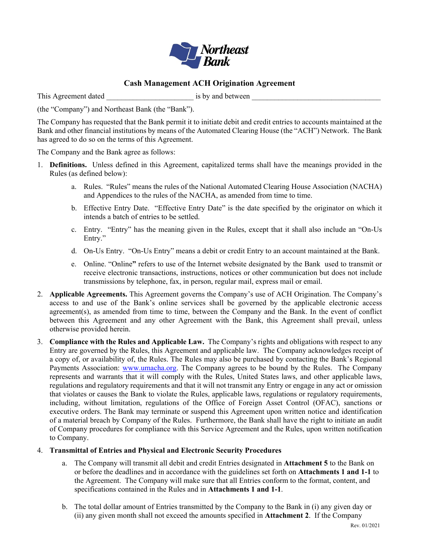

### **Cash Management ACH Origination Agreement**

This Agreement dated is by and between  $\frac{1}{2}$ 

(the "Company") and Northeast Bank (the "Bank").

The Company has requested that the Bank permit it to initiate debit and credit entries to accounts maintained at the Bank and other financial institutions by means of the Automated Clearing House (the "ACH") Network. The Bank has agreed to do so on the terms of this Agreement.

The Company and the Bank agree as follows:

- 1. **Definitions.** Unless defined in this Agreement, capitalized terms shall have the meanings provided in the Rules (as defined below):
	- a. Rules. "Rules" means the rules of the National Automated Clearing House Association (NACHA) and Appendices to the rules of the NACHA, as amended from time to time.
	- b. Effective Entry Date. "Effective Entry Date" is the date specified by the originator on which it intends a batch of entries to be settled.
	- c. Entry. "Entry" has the meaning given in the Rules, except that it shall also include an "On-Us Entry."
	- d. On-Us Entry. "On-Us Entry" means a debit or credit Entry to an account maintained at the Bank.
	- e. Online. "Online**"** refers to use of the Internet website designated by the Bank used to transmit or receive electronic transactions, instructions, notices or other communication but does not include transmissions by telephone, fax, in person, regular mail, express mail or email.
- 2. **Applicable Agreements.** This Agreement governs the Company's use of ACH Origination. The Company's access to and use of the Bank's online services shall be governed by the applicable electronic access agreement(s), as amended from time to time, between the Company and the Bank. In the event of conflict between this Agreement and any other Agreement with the Bank, this Agreement shall prevail, unless otherwise provided herein.
- 3. **Compliance with the Rules and Applicable Law.** The Company's rights and obligations with respect to any Entry are governed by the Rules, this Agreement and applicable law. The Company acknowledges receipt of a copy of, or availability of, the Rules. The Rules may also be purchased by contacting the Bank's Regional Payments Association: [www.umacha.org.](http://www.umacha.org/) The Company agrees to be bound by the Rules. The Company represents and warrants that it will comply with the Rules, United States laws, and other applicable laws, regulations and regulatory requirements and that it will not transmit any Entry or engage in any act or omission that violates or causes the Bank to violate the Rules, applicable laws, regulations or regulatory requirements, including, without limitation, regulations of the Office of Foreign Asset Control (OFAC), sanctions or executive orders. The Bank may terminate or suspend this Agreement upon written notice and identification of a material breach by Company of the Rules. Furthermore, the Bank shall have the right to initiate an audit of Company procedures for compliance with this Service Agreement and the Rules, upon written notification to Company.

### 4. **Transmittal of Entries and Physical and Electronic Security Procedures**

- a. The Company will transmit all debit and credit Entries designated in **Attachment 5** to the Bank on or before the deadlines and in accordance with the guidelines set forth on **Attachments 1 and 1-1** to the Agreement. The Company will make sure that all Entries conform to the format, content, and specifications contained in the Rules and in **Attachments 1 and 1-1**.
- b. The total dollar amount of Entries transmitted by the Company to the Bank in (i) any given day or (ii) any given month shall not exceed the amounts specified in **Attachment 2**. If the Company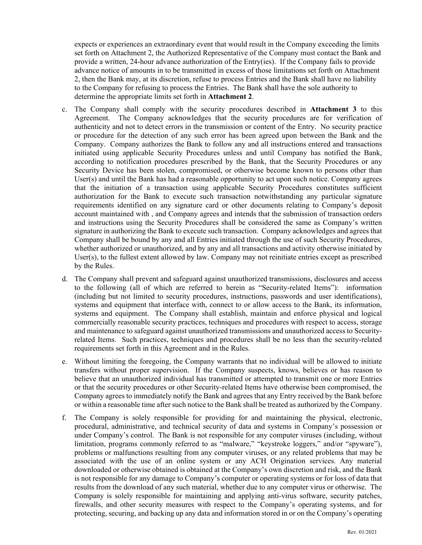expects or experiences an extraordinary event that would result in the Company exceeding the limits set forth on Attachment 2, the Authorized Representative of the Company must contact the Bank and provide a written, 24-hour advance authorization of the Entry(ies). If the Company fails to provide advance notice of amounts in to be transmitted in excess of those limitations set forth on Attachment 2, then the Bank may, at its discretion, refuse to process Entries and the Bank shall have no liability to the Company for refusing to process the Entries. The Bank shall have the sole authority to determine the appropriate limits set forth in **Attachment 2**.

- c. The Company shall comply with the security procedures described in **Attachment 3** to this Agreement. The Company acknowledges that the security procedures are for verification of authenticity and not to detect errors in the transmission or content of the Entry. No security practice or procedure for the detection of any such error has been agreed upon between the Bank and the Company. Company authorizes the Bank to follow any and all instructions entered and transactions initiated using applicable Security Procedures unless and until Company has notified the Bank, according to notification procedures prescribed by the Bank, that the Security Procedures or any Security Device has been stolen, compromised, or otherwise become known to persons other than User(s) and until the Bank has had a reasonable opportunity to act upon such notice. Company agrees that the initiation of a transaction using applicable Security Procedures constitutes sufficient authorization for the Bank to execute such transaction notwithstanding any particular signature requirements identified on any signature card or other documents relating to Company's deposit account maintained with , and Company agrees and intends that the submission of transaction orders and instructions using the Security Procedures shall be considered the same as Company's written signature in authorizing the Bank to execute such transaction. Company acknowledges and agrees that Company shall be bound by any and all Entries initiated through the use of such Security Procedures, whether authorized or unauthorized, and by any and all transactions and activity otherwise initiated by User(s), to the fullest extent allowed by law. Company may not reinitiate entries except as prescribed by the Rules.
- d. The Company shall prevent and safeguard against unauthorized transmissions, disclosures and access to the following (all of which are referred to herein as "Security-related Items"): information (including but not limited to security procedures, instructions, passwords and user identifications), systems and equipment that interface with, connect to or allow access to the Bank, its information, systems and equipment. The Company shall establish, maintain and enforce physical and logical commercially reasonable security practices, techniques and procedures with respect to access, storage and maintenance to safeguard against unauthorized transmissions and unauthorized access to Securityrelated Items. Such practices, techniques and procedures shall be no less than the security-related requirements set forth in this Agreement and in the Rules.
- e. Without limiting the foregoing, the Company warrants that no individual will be allowed to initiate transfers without proper supervision. If the Company suspects, knows, believes or has reason to believe that an unauthorized individual has transmitted or attempted to transmit one or more Entries or that the security procedures or other Security-related Items have otherwise been compromised, the Company agrees to immediately notify the Bank and agrees that any Entry received by the Bank before or within a reasonable time after such notice to the Bank shall be treated as authorized by the Company.
- f. The Company is solely responsible for providing for and maintaining the physical, electronic, procedural, administrative, and technical security of data and systems in Company's possession or under Company's control. The Bank is not responsible for any computer viruses (including, without limitation, programs commonly referred to as "malware," "keystroke loggers," and/or "spyware"), problems or malfunctions resulting from any computer viruses, or any related problems that may be associated with the use of an online system or any ACH Origination services. Any material downloaded or otherwise obtained is obtained at the Company's own discretion and risk, and the Bank is not responsible for any damage to Company's computer or operating systems or for loss of data that results from the download of any such material, whether due to any computer virus or otherwise. The Company is solely responsible for maintaining and applying anti-virus software, security patches, firewalls, and other security measures with respect to the Company's operating systems, and for protecting, securing, and backing up any data and information stored in or on the Company's operating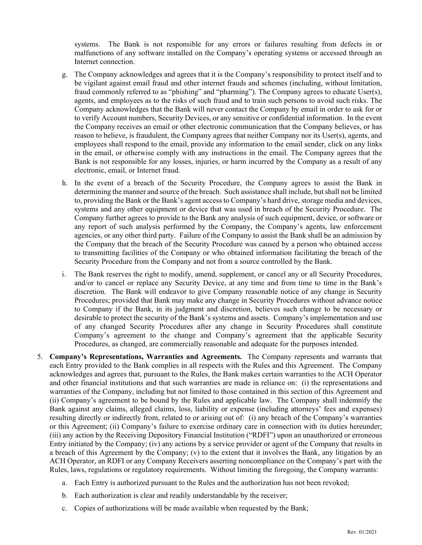systems. The Bank is not responsible for any errors or failures resulting from defects in or malfunctions of any software installed on the Company's operating systems or accessed through an Internet connection.

- g. The Company acknowledges and agrees that it is the Company's responsibility to protect itself and to be vigilant against email fraud and other internet frauds and schemes (including, without limitation, fraud commonly referred to as "phishing" and "pharming"). The Company agrees to educate User(s), agents, and employees as to the risks of such fraud and to train such persons to avoid such risks. The Company acknowledges that the Bank will never contact the Company by email in order to ask for or to verify Account numbers, Security Devices, or any sensitive or confidential information. In the event the Company receives an email or other electronic communication that the Company believes, or has reason to believe, is fraudulent, the Company agrees that neither Company nor its User(s), agents, and employees shall respond to the email, provide any information to the email sender, click on any links in the email, or otherwise comply with any instructions in the email. The Company agrees that the Bank is not responsible for any losses, injuries, or harm incurred by the Company as a result of any electronic, email, or Internet fraud.
- h. In the event of a breach of the Security Procedure, the Company agrees to assist the Bank in determining the manner and source of the breach. Such assistance shall include, but shall not be limited to, providing the Bank or the Bank's agent access to Company's hard drive, storage media and devices, systems and any other equipment or device that was used in breach of the Security Procedure. The Company further agrees to provide to the Bank any analysis of such equipment, device, or software or any report of such analysis performed by the Company, the Company's agents, law enforcement agencies, or any other third party. Failure of the Company to assist the Bank shall be an admission by the Company that the breach of the Security Procedure was caused by a person who obtained access to transmitting facilities of the Company or who obtained information facilitating the breach of the Security Procedure from the Company and not from a source controlled by the Bank.
- i. The Bank reserves the right to modify, amend, supplement, or cancel any or all Security Procedures, and/or to cancel or replace any Security Device, at any time and from time to time in the Bank's discretion. The Bank will endeavor to give Company reasonable notice of any change in Security Procedures; provided that Bank may make any change in Security Procedures without advance notice to Company if the Bank, in its judgment and discretion, believes such change to be necessary or desirable to protect the security of the Bank's systems and assets. Company's implementation and use of any changed Security Procedures after any change in Security Procedures shall constitute Company's agreement to the change and Company's agreement that the applicable Security Procedures, as changed, are commercially reasonable and adequate for the purposes intended.
- 5. **Company's Representations, Warranties and Agreements.** The Company represents and warrants that each Entry provided to the Bank complies in all respects with the Rules and this Agreement. The Company acknowledges and agrees that, pursuant to the Rules, the Bank makes certain warranties to the ACH Operator and other financial institutions and that such warranties are made in reliance on: (i) the representations and warranties of the Company, including but not limited to those contained in this section of this Agreement and (ii) Company's agreement to be bound by the Rules and applicable law. The Company shall indemnify the Bank against any claims, alleged claims, loss, liability or expense (including attorneys' fees and expenses) resulting directly or indirectly from, related to or arising out of: (i) any breach of the Company's warranties or this Agreement; (ii) Company's failure to exercise ordinary care in connection with its duties hereunder; (iii) any action by the Receiving Depository Financial Institution ("RDFI") upon an unauthorized or erroneous Entry initiated by the Company; (iv) any actions by a service provider or agent of the Company that results in a breach of this Agreement by the Company; (v) to the extent that it involves the Bank, any litigation by an ACH Operator, an RDFI or any Company Receivers asserting noncompliance on the Company's part with the Rules, laws, regulations or regulatory requirements. Without limiting the foregoing, the Company warrants:
	- a. Each Entry is authorized pursuant to the Rules and the authorization has not been revoked;
	- b. Each authorization is clear and readily understandable by the receiver;
	- c. Copies of authorizations will be made available when requested by the Bank;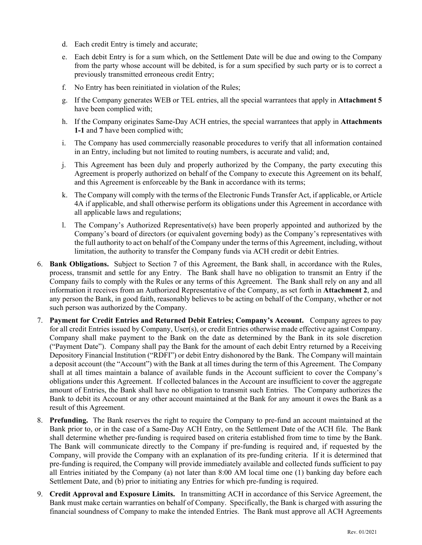- d. Each credit Entry is timely and accurate;
- e. Each debit Entry is for a sum which, on the Settlement Date will be due and owing to the Company from the party whose account will be debited, is for a sum specified by such party or is to correct a previously transmitted erroneous credit Entry;
- f. No Entry has been reinitiated in violation of the Rules;
- g. If the Company generates WEB or TEL entries, all the special warrantees that apply in **Attachment 5** have been complied with;
- h. If the Company originates Same-Day ACH entries, the special warrantees that apply in **Attachments 1-1** and **7** have been complied with;
- i. The Company has used commercially reasonable procedures to verify that all information contained in an Entry, including but not limited to routing numbers, is accurate and valid; and,
- j. This Agreement has been duly and properly authorized by the Company, the party executing this Agreement is properly authorized on behalf of the Company to execute this Agreement on its behalf, and this Agreement is enforceable by the Bank in accordance with its terms;
- k. The Company will comply with the terms of the Electronic Funds Transfer Act, if applicable, or Article 4A if applicable, and shall otherwise perform its obligations under this Agreement in accordance with all applicable laws and regulations;
- l. The Company's Authorized Representative(s) have been properly appointed and authorized by the Company's board of directors (or equivalent governing body) as the Company's representatives with the full authority to act on behalf of the Company under the terms of this Agreement, including, without limitation, the authority to transfer the Company funds via ACH credit or debit Entries.
- 6. **Bank Obligations.** Subject to Section 7 of this Agreement, the Bank shall, in accordance with the Rules, process, transmit and settle for any Entry. The Bank shall have no obligation to transmit an Entry if the Company fails to comply with the Rules or any terms of this Agreement. The Bank shall rely on any and all information it receives from an Authorized Representative of the Company, as set forth in **Attachment 2**, and any person the Bank, in good faith, reasonably believes to be acting on behalf of the Company, whether or not such person was authorized by the Company.
- 7. **Payment for Credit Entries and Returned Debit Entries; Company's Account.** Company agrees to pay for all credit Entries issued by Company, User(s), or credit Entries otherwise made effective against Company. Company shall make payment to the Bank on the date as determined by the Bank in its sole discretion ("Payment Date"). Company shall pay the Bank for the amount of each debit Entry returned by a Receiving Depository Financial Institution ("RDFI") or debit Entry dishonored by the Bank. The Company will maintain a deposit account (the "Account") with the Bank at all times during the term of this Agreement. The Company shall at all times maintain a balance of available funds in the Account sufficient to cover the Company's obligations under this Agreement. If collected balances in the Account are insufficient to cover the aggregate amount of Entries, the Bank shall have no obligation to transmit such Entries. The Company authorizes the Bank to debit its Account or any other account maintained at the Bank for any amount it owes the Bank as a result of this Agreement.
- 8. **Prefunding.** The Bank reserves the right to require the Company to pre-fund an account maintained at the Bank prior to, or in the case of a Same-Day ACH Entry, on the Settlement Date of the ACH file. The Bank shall determine whether pre-funding is required based on criteria established from time to time by the Bank. The Bank will communicate directly to the Company if pre-funding is required and, if requested by the Company, will provide the Company with an explanation of its pre-funding criteria. If it is determined that pre-funding is required, the Company will provide immediately available and collected funds sufficient to pay all Entries initiated by the Company (a) not later than 8:00 AM local time one (1) banking day before each Settlement Date, and (b) prior to initiating any Entries for which pre-funding is required.
- 9. **Credit Approval and Exposure Limits.** In transmitting ACH in accordance of this Service Agreement, the Bank must make certain warranties on behalf of Company. Specifically, the Bank is charged with assuring the financial soundness of Company to make the intended Entries. The Bank must approve all ACH Agreements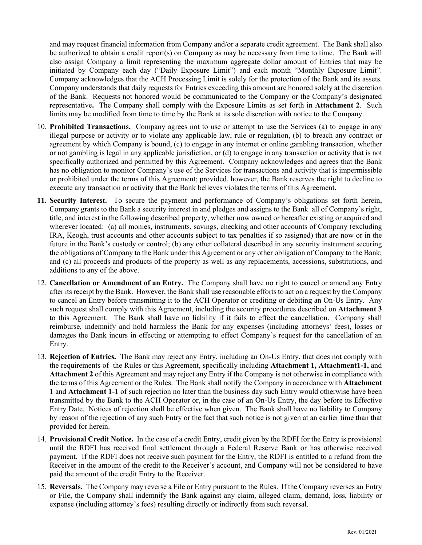and may request financial information from Company and/or a separate credit agreement. The Bank shall also be authorized to obtain a credit report(s) on Company as may be necessary from time to time. The Bank will also assign Company a limit representing the maximum aggregate dollar amount of Entries that may be initiated by Company each day ("Daily Exposure Limit") and each month "Monthly Exposure Limit". Company acknowledges that the ACH Processing Limit is solely for the protection of the Bank and its assets. Company understands that daily requests for Entries exceeding this amount are honored solely at the discretion of the Bank. Requests not honored would be communicated to the Company or the Company's designated representative**.** The Company shall comply with the Exposure Limits as set forth in **Attachment 2**. Such limits may be modified from time to time by the Bank at its sole discretion with notice to the Company.

- 10. **Prohibited Transactions.** Company agrees not to use or attempt to use the Services (a) to engage in any illegal purpose or activity or to violate any applicable law, rule or regulation, (b) to breach any contract or agreement by which Company is bound, (c) to engage in any internet or online gambling transaction, whether or not gambling is legal in any applicable jurisdiction, or (d) to engage in any transaction or activity that is not specifically authorized and permitted by this Agreement. Company acknowledges and agrees that the Bank has no obligation to monitor Company's use of the Services for transactions and activity that is impermissible or prohibited under the terms of this Agreement; provided, however, the Bank reserves the right to decline to execute any transaction or activity that the Bank believes violates the terms of this Agreement**.**
- **11. Security Interest.** To secure the payment and performance of Company's obligations set forth herein, Company grants to the Bank a security interest in and pledges and assigns to the Bank all of Company's right, title, and interest in the following described property, whether now owned or hereafter existing or acquired and wherever located: (a) all monies, instruments, savings, checking and other accounts of Company (excluding IRA, Keogh, trust accounts and other accounts subject to tax penalties if so assigned) that are now or in the future in the Bank's custody or control; (b) any other collateral described in any security instrument securing the obligations of Company to the Bank under this Agreement or any other obligation of Company to the Bank; and (c) all proceeds and products of the property as well as any replacements, accessions, substitutions, and additions to any of the above.
- 12. **Cancellation or Amendment of an Entry.** The Company shall have no right to cancel or amend any Entry after its receipt by the Bank. However, the Bank shall use reasonable efforts to act on a request by the Company to cancel an Entry before transmitting it to the ACH Operator or crediting or debiting an On-Us Entry. Any such request shall comply with this Agreement, including the security procedures described on **Attachment 3** to this Agreement. The Bank shall have no liability if it fails to effect the cancellation. Company shall reimburse, indemnify and hold harmless the Bank for any expenses (including attorneys' fees), losses or damages the Bank incurs in effecting or attempting to effect Company's request for the cancellation of an Entry.
- 13. **Rejection of Entries.** The Bank may reject any Entry, including an On-Us Entry, that does not comply with the requirements of the Rules or this Agreement, specifically including **Attachment 1, Attachment1-1,** and **Attachment 2** of this Agreement and may reject any Entry if the Company is not otherwise in compliance with the terms of this Agreement or the Rules. The Bank shall notify the Company in accordance with **Attachment 1** and **Attachment 1-1** of such rejection no later than the business day such Entry would otherwise have been transmitted by the Bank to the ACH Operator or, in the case of an On-Us Entry, the day before its Effective Entry Date. Notices of rejection shall be effective when given. The Bank shall have no liability to Company by reason of the rejection of any such Entry or the fact that such notice is not given at an earlier time than that provided for herein.
- 14. **Provisional Credit Notice.** In the case of a credit Entry, credit given by the RDFI for the Entry is provisional until the RDFI has received final settlement through a Federal Reserve Bank or has otherwise received payment. If the RDFI does not receive such payment for the Entry, the RDFI is entitled to a refund from the Receiver in the amount of the credit to the Receiver's account, and Company will not be considered to have paid the amount of the credit Entry to the Receiver.
- 15. **Reversals.** The Company may reverse a File or Entry pursuant to the Rules. If the Company reverses an Entry or File, the Company shall indemnify the Bank against any claim, alleged claim, demand, loss, liability or expense (including attorney's fees) resulting directly or indirectly from such reversal.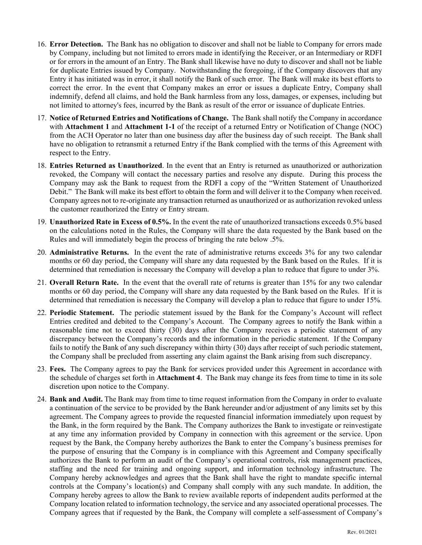- 16. **Error Detection.** The Bank has no obligation to discover and shall not be liable to Company for errors made by Company, including but not limited to errors made in identifying the Receiver, or an Intermediary or RDFI or for errors in the amount of an Entry. The Bank shall likewise have no duty to discover and shall not be liable for duplicate Entries issued by Company. Notwithstanding the foregoing, if the Company discovers that any Entry it has initiated was in error, it shall notify the Bank of such error. The Bank will make its best efforts to correct the error. In the event that Company makes an error or issues a duplicate Entry, Company shall indemnify, defend all claims, and hold the Bank harmless from any loss, damages, or expenses, including but not limited to attorney's fees, incurred by the Bank as result of the error or issuance of duplicate Entries.
- 17. **Notice of Returned Entries and Notifications of Change.** The Bank shall notify the Company in accordance with **Attachment 1** and **Attachment 1-1** of the receipt of a returned Entry or Notification of Change (NOC) from the ACH Operator no later than one business day after the business day of such receipt. The Bank shall have no obligation to retransmit a returned Entry if the Bank complied with the terms of this Agreement with respect to the Entry.
- 18. **Entries Returned as Unauthorized**. In the event that an Entry is returned as unauthorized or authorization revoked, the Company will contact the necessary parties and resolve any dispute. During this process the Company may ask the Bank to request from the RDFI a copy of the "Written Statement of Unauthorized Debit." The Bank will make its best effort to obtain the form and will deliver it to the Company when received. Company agrees not to re-originate any transaction returned as unauthorized or as authorization revoked unless the customer reauthorized the Entry or Entry stream.
- 19. **Unauthorized Rate in Excess of 0.5%.** In the event the rate of unauthorized transactions exceeds 0.5% based on the calculations noted in the Rules, the Company will share the data requested by the Bank based on the Rules and will immediately begin the process of bringing the rate below .5%.
- 20. **Administrative Returns.** In the event the rate of administrative returns exceeds 3% for any two calendar months or 60 day period, the Company will share any data requested by the Bank based on the Rules. If it is determined that remediation is necessary the Company will develop a plan to reduce that figure to under 3%.
- 21. **Overall Return Rate.** In the event that the overall rate of returns is greater than 15% for any two calendar months or 60 day period, the Company will share any data requested by the Bank based on the Rules. If it is determined that remediation is necessary the Company will develop a plan to reduce that figure to under 15%.
- 22. **Periodic Statement.** The periodic statement issued by the Bank for the Company's Account will reflect Entries credited and debited to the Company's Account. The Company agrees to notify the Bank within a reasonable time not to exceed thirty (30) days after the Company receives a periodic statement of any discrepancy between the Company's records and the information in the periodic statement. If the Company fails to notify the Bank of any such discrepancy within thirty (30) days after receipt of such periodic statement, the Company shall be precluded from asserting any claim against the Bank arising from such discrepancy.
- 23. **Fees.** The Company agrees to pay the Bank for services provided under this Agreement in accordance with the schedule of charges set forth in **Attachment 4**. The Bank may change its fees from time to time in its sole discretion upon notice to the Company.
- 24. **Bank and Audit.** The Bank may from time to time request information from the Company in order to evaluate a continuation of the service to be provided by the Bank hereunder and/or adjustment of any limits set by this agreement. The Company agrees to provide the requested financial information immediately upon request by the Bank, in the form required by the Bank. The Company authorizes the Bank to investigate or reinvestigate at any time any information provided by Company in connection with this agreement or the service. Upon request by the Bank, the Company hereby authorizes the Bank to enter the Company's business premises for the purpose of ensuring that the Company is in compliance with this Agreement and Company specifically authorizes the Bank to perform an audit of the Company's operational controls, risk management practices, staffing and the need for training and ongoing support, and information technology infrastructure. The Company hereby acknowledges and agrees that the Bank shall have the right to mandate specific internal controls at the Company's location(s) and Company shall comply with any such mandate. In addition, the Company hereby agrees to allow the Bank to review available reports of independent audits performed at the Company location related to information technology, the service and any associated operational processes. The Company agrees that if requested by the Bank, the Company will complete a self-assessment of Company's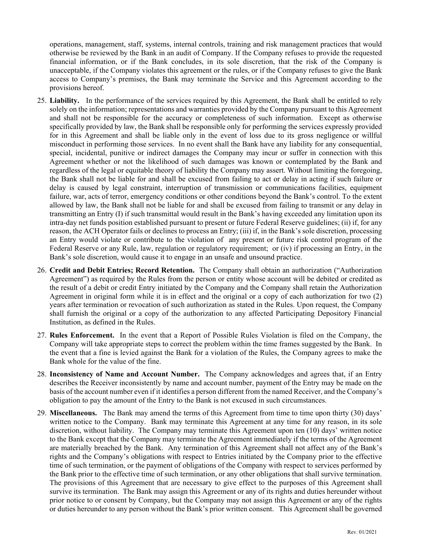operations, management, staff, systems, internal controls, training and risk management practices that would otherwise be reviewed by the Bank in an audit of Company. If the Company refuses to provide the requested financial information, or if the Bank concludes, in its sole discretion, that the risk of the Company is unacceptable, if the Company violates this agreement or the rules, or if the Company refuses to give the Bank access to Company's premises, the Bank may terminate the Service and this Agreement according to the provisions hereof.

- 25. **Liability.** In the performance of the services required by this Agreement, the Bank shall be entitled to rely solely on the information; representations and warranties provided by the Company pursuant to this Agreement and shall not be responsible for the accuracy or completeness of such information. Except as otherwise specifically provided by law, the Bank shall be responsible only for performing the services expressly provided for in this Agreement and shall be liable only in the event of loss due to its gross negligence or willful misconduct in performing those services. In no event shall the Bank have any liability for any consequential, special, incidental, punitive or indirect damages the Company may incur or suffer in connection with this Agreement whether or not the likelihood of such damages was known or contemplated by the Bank and regardless of the legal or equitable theory of liability the Company may assert. Without limiting the foregoing, the Bank shall not be liable for and shall be excused from failing to act or delay in acting if such failure or delay is caused by legal constraint, interruption of transmission or communications facilities, equipment failure, war, acts of terror, emergency conditions or other conditions beyond the Bank's control. To the extent allowed by law, the Bank shall not be liable for and shall be excused from failing to transmit or any delay in transmitting an Entry (I) if such transmittal would result in the Bank's having exceeded any limitation upon its intra-day net funds position established pursuant to present or future Federal Reserve guidelines; (ii) if, for any reason, the ACH Operator fails or declines to process an Entry; (iii) if, in the Bank's sole discretion, processing an Entry would violate or contribute to the violation of any present or future risk control program of the Federal Reserve or any Rule, law, regulation or regulatory requirement; or (iv) if processing an Entry, in the Bank's sole discretion, would cause it to engage in an unsafe and unsound practice.
- 26. **Credit and Debit Entries; Record Retention.** The Company shall obtain an authorization ("Authorization Agreement") as required by the Rules from the person or entity whose account will be debited or credited as the result of a debit or credit Entry initiated by the Company and the Company shall retain the Authorization Agreement in original form while it is in effect and the original or a copy of each authorization for two (2) years after termination or revocation of such authorization as stated in the Rules. Upon request, the Company shall furnish the original or a copy of the authorization to any affected Participating Depository Financial Institution, as defined in the Rules.
- 27. **Rules Enforcement.** In the event that a Report of Possible Rules Violation is filed on the Company, the Company will take appropriate steps to correct the problem within the time frames suggested by the Bank. In the event that a fine is levied against the Bank for a violation of the Rules, the Company agrees to make the Bank whole for the value of the fine.
- 28. **Inconsistency of Name and Account Number.** The Company acknowledges and agrees that, if an Entry describes the Receiver inconsistently by name and account number, payment of the Entry may be made on the basis of the account number even if it identifies a person different from the named Receiver, and the Company's obligation to pay the amount of the Entry to the Bank is not excused in such circumstances.
- 29. **Miscellaneous.** The Bank may amend the terms of this Agreement from time to time upon thirty (30) days' written notice to the Company. Bank may terminate this Agreement at any time for any reason, in its sole discretion, without liability. The Company may terminate this Agreement upon ten (10) days' written notice to the Bank except that the Company may terminate the Agreement immediately if the terms of the Agreement are materially breached by the Bank. Any termination of this Agreement shall not affect any of the Bank's rights and the Company's obligations with respect to Entries initiated by the Company prior to the effective time of such termination, or the payment of obligations of the Company with respect to services performed by the Bank prior to the effective time of such termination, or any other obligations that shall survive termination. The provisions of this Agreement that are necessary to give effect to the purposes of this Agreement shall survive its termination. The Bank may assign this Agreement or any of its rights and duties hereunder without prior notice to or consent by Company, but the Company may not assign this Agreement or any of the rights or duties hereunder to any person without the Bank's prior written consent. This Agreement shall be governed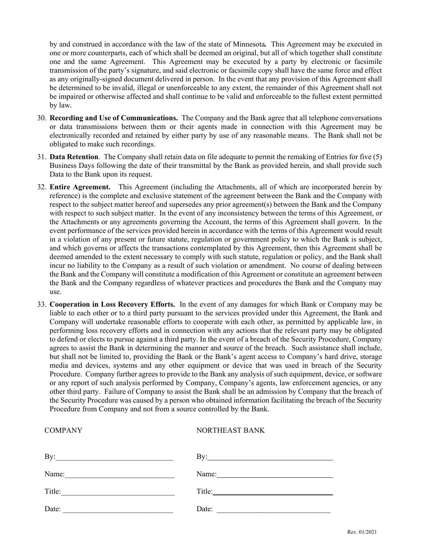by and construed in accordance with the law of the state of Minnesota*.* This Agreement may be executed in one or more counterparts, each of which shall be deemed an original, but all of which together shall constitute one and the same Agreement. This Agreement may be executed by a party by electronic or facsimile transmission of the party's signature, and said electronic or facsimile copy shall have the same force and effect as any originally-signed document delivered in person. In the event that any provision of this Agreement shall be determined to be invalid, illegal or unenforceable to any extent, the remainder of this Agreement shall not be impaired or otherwise affected and shall continue to be valid and enforceable to the fullest extent permitted by law.

- 30. **Recording and Use of Communications.** The Company and the Bank agree that all telephone conversations or data transmissions between them or their agents made in connection with this Agreement may be electronically recorded and retained by either party by use of any reasonable means. The Bank shall not be obligated to make such recordings.
- 31. **Data Retention**. The Company shall retain data on file adequate to permit the remaking of Entries for five (5) Business Days following the date of their transmittal by the Bank as provided herein, and shall provide such Data to the Bank upon its request.
- 32. **Entire Agreement.** This Agreement (including the Attachments, all of which are incorporated herein by reference) is the complete and exclusive statement of the agreement between the Bank and the Company with respect to the subject matter hereof and supersedes any prior agreement(s) between the Bank and the Company with respect to such subject matter. In the event of any inconsistency between the terms of this Agreement, or the Attachments or any agreements governing the Account, the terms of this Agreement shall govern. In the event performance of the services provided herein in accordance with the terms of this Agreement would result in a violation of any present or future statute, regulation or government policy to which the Bank is subject, and which governs or affects the transactions contemplated by this Agreement, then this Agreement shall be deemed amended to the extent necessary to comply with such statute, regulation or policy, and the Bank shall incur no liability to the Company as a result of such violation or amendment. No course of dealing between the Bank and the Company will constitute a modification of this Agreement or constitute an agreement between the Bank and the Company regardless of whatever practices and procedures the Bank and the Company may use.
- 33. **Cooperation in Loss Recovery Efforts.** In the event of any damages for which Bank or Company may be liable to each other or to a third party pursuant to the services provided under this Agreement, the Bank and Company will undertake reasonable efforts to cooperate with each other, as permitted by applicable law, in performing loss recovery efforts and in connection with any actions that the relevant party may be obligated to defend or elects to pursue against a third party. In the event of a breach of the Security Procedure, Company agrees to assist the Bank in determining the manner and source of the breach. Such assistance shall include, but shall not be limited to, providing the Bank or the Bank's agent access to Company's hard drive, storage media and devices, systems and any other equipment or device that was used in breach of the Security Procedure. Company further agrees to provide to the Bank any analysis of such equipment, device, or software or any report of such analysis performed by Company, Company's agents, law enforcement agencies, or any other third party. Failure of Company to assist the Bank shall be an admission by Company that the breach of the Security Procedure was caused by a person who obtained information facilitating the breach of the Security Procedure from Company and not from a source controlled by the Bank.

| <b>COMPANY</b>                                                      | NORTHEAST BANK                                          |  |
|---------------------------------------------------------------------|---------------------------------------------------------|--|
| By:                                                                 |                                                         |  |
| Name:                                                               | Name:<br><u> 1989 - Jan Sterling Sterling (d. 1989)</u> |  |
| Title:<br><u> 1990 - Johann Barbara, martin amerikan personal (</u> | Title:                                                  |  |
| Date:                                                               | Date:                                                   |  |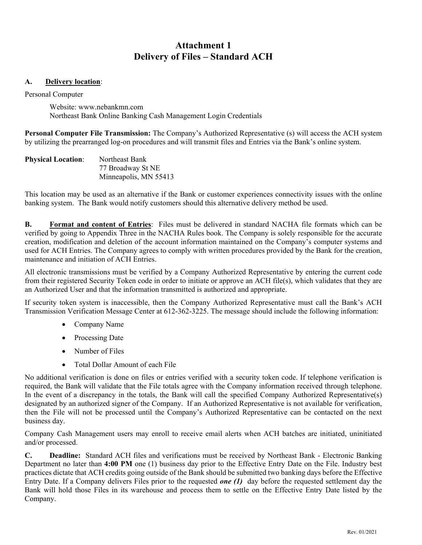# **Attachment 1 Delivery of Files – Standard ACH**

### **A. Delivery location**:

Personal Computer

Website: www.nebankmn.com Northeast Bank Online Banking Cash Management Login Credentials

**Personal Computer File Transmission:** The Company's Authorized Representative (s) will access the ACH system by utilizing the prearranged log-on procedures and will transmit files and Entries via the Bank's online system.

| <b>Physical Location:</b> | Northeast Bank        |  |
|---------------------------|-----------------------|--|
|                           | 77 Broadway St NE     |  |
|                           | Minneapolis, MN 55413 |  |

This location may be used as an alternative if the Bank or customer experiences connectivity issues with the online banking system. The Bank would notify customers should this alternative delivery method be used.

**B. Format and content of Entries**: Files must be delivered in standard NACHA file formats which can be verified by going to Appendix Three in the NACHA Rules book. The Company is solely responsible for the accurate creation, modification and deletion of the account information maintained on the Company's computer systems and used for ACH Entries. The Company agrees to comply with written procedures provided by the Bank for the creation, maintenance and initiation of ACH Entries.

All electronic transmissions must be verified by a Company Authorized Representative by entering the current code from their registered Security Token code in order to initiate or approve an ACH file(s), which validates that they are an Authorized User and that the information transmitted is authorized and appropriate.

If security token system is inaccessible, then the Company Authorized Representative must call the Bank's ACH Transmission Verification Message Center at 612-362-3225. The message should include the following information:

- Company Name
- Processing Date
- Number of Files
- Total Dollar Amount of each File

No additional verification is done on files or entries verified with a security token code. If telephone verification is required, the Bank will validate that the File totals agree with the Company information received through telephone. In the event of a discrepancy in the totals, the Bank will call the specified Company Authorized Representative(s) designated by an authorized signer of the Company. If an Authorized Representative is not available for verification, then the File will not be processed until the Company's Authorized Representative can be contacted on the next business day.

Company Cash Management users may enroll to receive email alerts when ACH batches are initiated, uninitiated and/or processed.

**C. Deadline:** Standard ACH files and verifications must be received by Northeast Bank - Electronic Banking Department no later than **4:00 PM** one (1) business day prior to the Effective Entry Date on the File. Industry best practices dictate that ACH credits going outside of the Bank should be submitted two banking days before the Effective Entry Date. If a Company delivers Files prior to the requested *one (1)* day before the requested settlement day the Bank will hold those Files in its warehouse and process them to settle on the Effective Entry Date listed by the Company.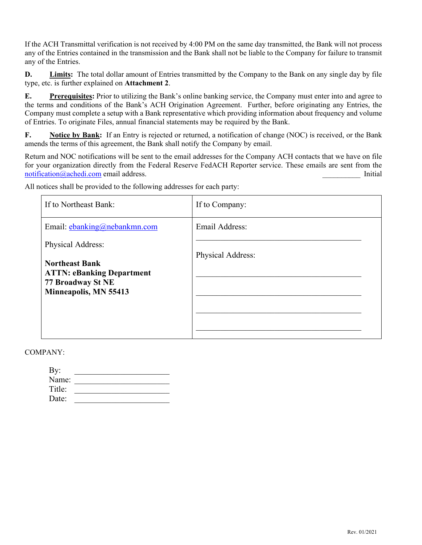If the ACH Transmittal verification is not received by 4:00 PM on the same day transmitted, the Bank will not process any of the Entries contained in the transmission and the Bank shall not be liable to the Company for failure to transmit any of the Entries.

**D. Limits:** The total dollar amount of Entries transmitted by the Company to the Bank on any single day by file type, etc. is further explained on **Attachment 2**.

**E. Prerequisites:** Prior to utilizing the Bank's online banking service, the Company must enter into and agree to the terms and conditions of the Bank's ACH Origination Agreement. Further, before originating any Entries, the Company must complete a setup with a Bank representative which providing information about frequency and volume of Entries. To originate Files, annual financial statements may be required by the Bank.

**F. Notice by Bank:** If an Entry is rejected or returned, a notification of change (NOC) is received, or the Bank amends the terms of this agreement, the Bank shall notify the Company by email.

Return and NOC notifications will be sent to the email addresses for the Company ACH contacts that we have on file for your organization directly from the Federal Reserve FedACH Reporter service. These emails are sent from the [notification@achedi.com](file://neb-mpls/shared/Cash%20Management/Agreements/Word%20Docs/notification@achedi.com%20) email address. \_\_\_\_\_\_\_\_\_\_ Initial

All notices shall be provided to the following addresses for each party:

| If to Northeast Bank:                                                                                   | If to Company:    |
|---------------------------------------------------------------------------------------------------------|-------------------|
| Email: ebanking@nebankmn.com                                                                            | Email Address:    |
| Physical Address:                                                                                       |                   |
| <b>Northeast Bank</b><br><b>ATTN: eBanking Department</b><br>77 Broadway St NE<br>Minneapolis, MN 55413 | Physical Address: |

COMPANY:

| By:    |  |
|--------|--|
| Name:  |  |
| Title: |  |
| Date:  |  |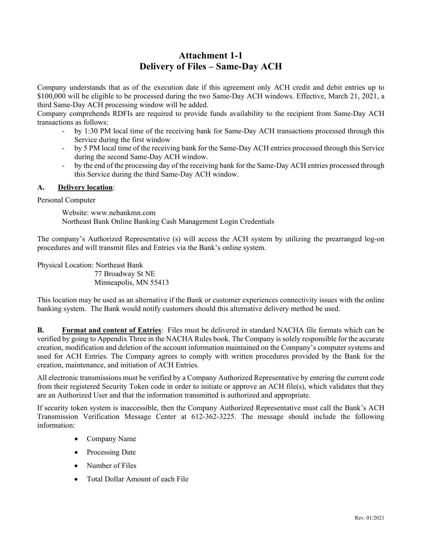# **Attachment 1-1 Delivery of Files – Same-Day ACH**

Company understands that as of the execution date if this agreement only ACH credit and debit entries up to \$100,000 will be eligible to be processed during the two Same-Day ACH windows. Effective, March 21, 2021, a third Same-Day ACH processing window will be added.

Company comprehends RDFIs are required to provide funds availability to the recipient from Same-Day ACH transactions as follows:

- by 1:30 PM local time of the receiving bank for Same-Day ACH transactions processed through this Service during the first window
- by 5 PM local time of the receiving bank for the Same-Day ACH entries processed through this Service during the second Same-Day ACH window.
- by the end of the processing day of the receiving bank for the Same-Day ACH entries processed through this Service during the third Same-Day ACH window.

### **A. Delivery location**:

Personal Computer

Website: www.nebankmn.com Northeast Bank Online Banking Cash Management Login Credentials

The company's Authorized Representative (s) will access the ACH system by utilizing the prearranged log-on procedures and will transmit files and Entries via the Bank's online system.

Physical Location: Northeast Bank

 77 Broadway St NE Minneapolis, MN 55413

This location may be used as an alternative if the Bank or customer experiences connectivity issues with the online banking system. The Bank would notify customers should this alternative delivery method be used.

**B. Format and content of Entries**: Files must be delivered in standard NACHA file formats which can be verified by going to Appendix Three in the NACHA Rules book. The Company is solely responsible for the accurate creation, modification and deletion of the account information maintained on the Company's computer systems and used for ACH Entries. The Company agrees to comply with written procedures provided by the Bank for the creation, maintenance, and initiation of ACH Entries.

All electronic transmissions must be verified by a Company Authorized Representative by entering the current code from their registered Security Token code in order to initiate or approve an ACH file(s), which validates that they are an Authorized User and that the information transmitted is authorized and appropriate.

If security token system is inaccessible, then the Company Authorized Representative must call the Bank's ACH Transmission Verification Message Center at 612-362-3225. The message should include the following information:

- Company Name
- Processing Date
- Number of Files
- Total Dollar Amount of each File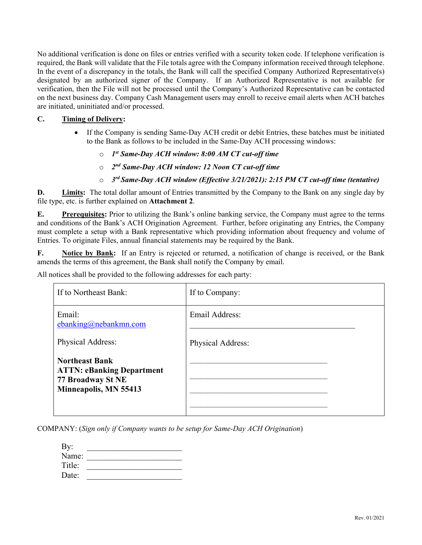No additional verification is done on files or entries verified with a security token code. If telephone verification is required, the Bank will validate that the File totals agree with the Company information received through telephone. In the event of a discrepancy in the totals, the Bank will call the specified Company Authorized Representative(s) designated by an authorized signer of the Company. If an Authorized Representative is not available for verification, then the File will not be processed until the Company's Authorized Representative can be contacted on the next business day. Company Cash Management users may enroll to receive email alerts when ACH batches are initiated, uninitiated and/or processed.

### **C. Timing of Delivery:**

- If the Company is sending Same-Day ACH credit or debit Entries, these batches must be initiated to the Bank as follows to be included in the Same-Day ACH processing windows:
	- o *1st Same-Day ACH window: 8:00 AM CT cut-off time*
	- o *2nd Same-Day ACH window: 12 Noon CT cut-off time*
	- o *3rd Same-Day ACH window (Effective 3/21/2021): 2:15 PM CT cut-off time (tentative)*

**D. Limits:** The total dollar amount of Entries transmitted by the Company to the Bank on any single day by file type, etc. is further explained on **Attachment 2**.

**E. Prerequisites:** Prior to utilizing the Bank's online banking service, the Company must agree to the terms and conditions of the Bank's ACH Origination Agreement. Further, before originating any Entries, the Company must complete a setup with a Bank representative which providing information about frequency and volume of Entries. To originate Files, annual financial statements may be required by the Bank.

**F. Notice by Bank:** If an Entry is rejected or returned, a notification of change is received, or the Bank amends the terms of this agreement, the Bank shall notify the Company by email.

All notices shall be provided to the following addresses for each party:

| If to Northeast Bank:                                                                                   | If to Company:    |  |
|---------------------------------------------------------------------------------------------------------|-------------------|--|
| Email:<br>ebanking@nebankmn.com                                                                         | Email Address:    |  |
| Physical Address:                                                                                       | Physical Address: |  |
| <b>Northeast Bank</b><br><b>ATTN: eBanking Department</b><br>77 Broadway St NE<br>Minneapolis, MN 55413 |                   |  |

COMPANY: (*Sign only if Company wants to be setup for Same-Day ACH Origination*)

| By:    |  |
|--------|--|
| Name:  |  |
| Title: |  |
| Date:  |  |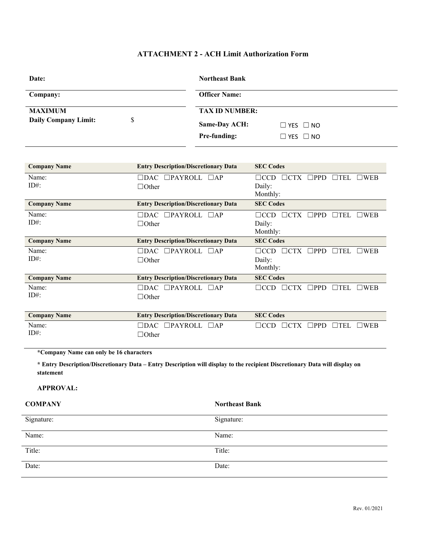### **ATTACHMENT 2 - ACH Limit Authorization Form**

| Date:                            | <b>Northeast Bank</b>                        |  |
|----------------------------------|----------------------------------------------|--|
| Company:                         | <b>Officer Name:</b>                         |  |
| <b>MAXIMUM</b>                   | <b>TAX ID NUMBER:</b>                        |  |
| <b>Daily Company Limit:</b><br>S | <b>Same-Day ACH:</b><br>$\Box$ YES $\Box$ NO |  |
|                                  | Pre-funding:<br>$\Box$ YES $\Box$ NO         |  |

| <b>Company Name</b> | <b>Entry Description/Discretionary Data</b>               | <b>SEC Codes</b>                                                                |
|---------------------|-----------------------------------------------------------|---------------------------------------------------------------------------------|
| Name:<br>$ID#$ :    | $\Box$ PAYROLL<br>$\Box$ dac<br>$\Box$ AP<br>$\Box$ Other | $\Box$ PPD<br>$\Box$ CTX<br>$\Box$ TEL<br>$\square$ WEB<br>$\Box$ CCD<br>Daily: |
|                     |                                                           | Monthly:                                                                        |
| <b>Company Name</b> | <b>Entry Description/Discretionary Data</b>               | <b>SEC Codes</b>                                                                |
| Name:               | $\Box$ PAYROLL<br>$\Box$ dac<br>$\Box$ AP                 | $\Box$ PPD<br>$\Box$ TEL<br>$\square$ WEB<br>∃CCD<br>$\Box$ CTX                 |
| $ID#$ :             | $\Box$ Other                                              | Daily:                                                                          |
|                     |                                                           | Monthly:                                                                        |
| <b>Company Name</b> | <b>Entry Description/Discretionary Data</b>               | <b>SEC Codes</b>                                                                |
| Name:               | $\Box$ PAYROLL $\Box$ AP<br>$\Box$ dac                    | $\Box$ CTX<br>$\Box$ PPD<br>$\Box$ TEL<br>$\square$ WEB<br>$\Box$ CCD           |
| $ID#$ :             | $\Box$ Other                                              | Daily:                                                                          |
|                     |                                                           | Monthly:                                                                        |
| <b>Company Name</b> | <b>Entry Description/Discretionary Data</b>               | <b>SEC Codes</b>                                                                |
| Name:               | $\Box$ PAYROLL<br>$\Box$ DAC<br>$\Box$ AP                 | $\Box$ CTX<br>$\Box$ PPD<br>$\blacksquare$ TEL<br>$\square$ WEB<br>$\Box$ CCD   |
| $ID#$ :             | $\Box$ Other                                              |                                                                                 |
|                     |                                                           |                                                                                 |
| <b>Company Name</b> | <b>Entry Description/Discretionary Data</b>               | <b>SEC Codes</b>                                                                |
| Name:               | $\Box$ PAYROLL<br>$\Box$ DAC<br>$\Box$ AP                 | $\Box$ PPD<br>$\square$ WEB<br>$\Box$ CCD<br>$\Box$ CTX<br>$\blacksquare$ TEL   |
| $ID#$ :             | $\Box$ Other                                              |                                                                                 |

**\*Company Name can only be 16 characters**

**\* Entry Description/Discretionary Data – Entry Description will display to the recipient Discretionary Data will display on statement** 

### **APPROVAL:**

| <b>COMPANY</b> | <b>Northeast Bank</b> |
|----------------|-----------------------|
| Signature:     | Signature:            |
| Name:          | Name:                 |
| Title:         | Title:                |
| Date:          | Date:                 |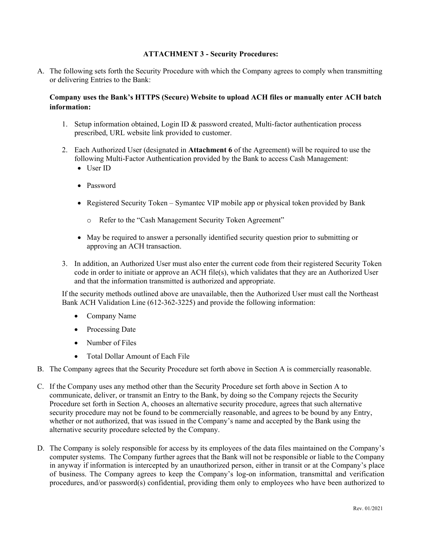### **ATTACHMENT 3 - Security Procedures:**

A. The following sets forth the Security Procedure with which the Company agrees to comply when transmitting or delivering Entries to the Bank:

### **Company uses the Bank's HTTPS (Secure) Website to upload ACH files or manually enter ACH batch information:**

- 1. Setup information obtained, Login ID & password created, Multi-factor authentication process prescribed, URL website link provided to customer.
- 2. Each Authorized User (designated in **Attachment 6** of the Agreement) will be required to use the following Multi-Factor Authentication provided by the Bank to access Cash Management:
	- User ID
	- Password
	- Registered Security Token Symantec VIP mobile app or physical token provided by Bank
		- o Refer to the "Cash Management Security Token Agreement"
	- May be required to answer a personally identified security question prior to submitting or approving an ACH transaction.
- 3. In addition, an Authorized User must also enter the current code from their registered Security Token code in order to initiate or approve an ACH file(s), which validates that they are an Authorized User and that the information transmitted is authorized and appropriate.

If the security methods outlined above are unavailable, then the Authorized User must call the Northeast Bank ACH Validation Line (612-362-3225) and provide the following information:

- Company Name
- Processing Date
- Number of Files
- Total Dollar Amount of Each File
- B. The Company agrees that the Security Procedure set forth above in Section A is commercially reasonable.
- C. If the Company uses any method other than the Security Procedure set forth above in Section A to communicate, deliver, or transmit an Entry to the Bank, by doing so the Company rejects the Security Procedure set forth in Section A, chooses an alternative security procedure, agrees that such alternative security procedure may not be found to be commercially reasonable, and agrees to be bound by any Entry, whether or not authorized, that was issued in the Company's name and accepted by the Bank using the alternative security procedure selected by the Company.
- D. The Company is solely responsible for access by its employees of the data files maintained on the Company's computer systems. The Company further agrees that the Bank will not be responsible or liable to the Company in anyway if information is intercepted by an unauthorized person, either in transit or at the Company's place of business. The Company agrees to keep the Company's log-on information, transmittal and verification procedures, and/or password(s) confidential, providing them only to employees who have been authorized to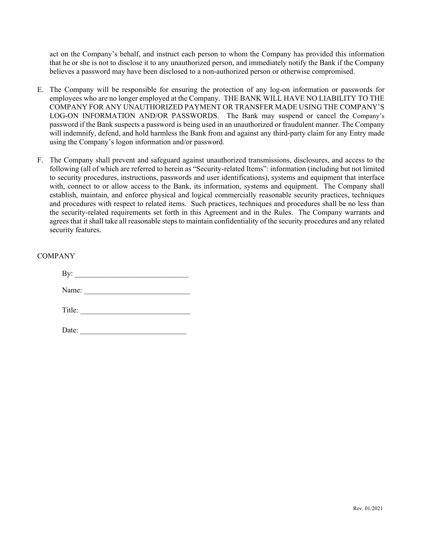act on the Company's behalf, and instruct each person to whom the Company has provided this information that he or she is not to disclose it to any unauthorized person, and immediately notify the Bank if the Company believes a password may have been disclosed to a non-authorized person or otherwise compromised.

- E. The Company will be responsible for ensuring the protection of any log-on information or passwords for employees who are no longer employed at the Company. THE BANK WILL HAVE NO LIABILITY TO THE COMPANY FOR ANY UNAUTHORIZED PAYMENT OR TRANSFER MADE USING THE COMPANY'S LOG-ON INFORMATION AND/OR PASSWORDS. The Bank may suspend or cancel the Company's password if the Bank suspects a password is being used in an unauthorized or fraudulent manner. The Company will indemnify, defend, and hold harmless the Bank from and against any third-party claim for any Entry made using the Company's logon information and/or password.
- F. The Company shall prevent and safeguard against unauthorized transmissions, disclosures, and access to the following (all of which are referred to herein as "Security-related Items": information (including but not limited to security procedures, instructions, passwords and user identifications), systems and equipment that interface with, connect to or allow access to the Bank, its information, systems and equipment. The Company shall establish, maintain, and enforce physical and logical commercially reasonable security practices, techniques and procedures with respect to related items. Such practices, techniques and procedures shall be no less than the security-related requirements set forth in this Agreement and in the Rules. The Company warrants and agrees that it shall take all reasonable steps to maintain confidentiality of the security procedures and any related security features.

| Name: $\frac{1}{\sqrt{1-\frac{1}{2}}\sqrt{1-\frac{1}{2}}\sqrt{1-\frac{1}{2}}\sqrt{1-\frac{1}{2}}\sqrt{1-\frac{1}{2}}\sqrt{1-\frac{1}{2}}\sqrt{1-\frac{1}{2}}\sqrt{1-\frac{1}{2}}\sqrt{1-\frac{1}{2}}\sqrt{1-\frac{1}{2}}\sqrt{1-\frac{1}{2}}\sqrt{1-\frac{1}{2}}\sqrt{1-\frac{1}{2}}\sqrt{1-\frac{1}{2}}\sqrt{1-\frac{1}{2}}\sqrt{1-\frac{1}{2}}\sqrt{1-\frac{1}{2}}\sqrt{1-\frac{1}{2}}\sqrt{1-\frac{1}{2}}$ |
|---------------------------------------------------------------------------------------------------------------------------------------------------------------------------------------------------------------------------------------------------------------------------------------------------------------------------------------------------------------------------------------------------------------|
| Title:                                                                                                                                                                                                                                                                                                                                                                                                        |
| Date:                                                                                                                                                                                                                                                                                                                                                                                                         |

COMPANY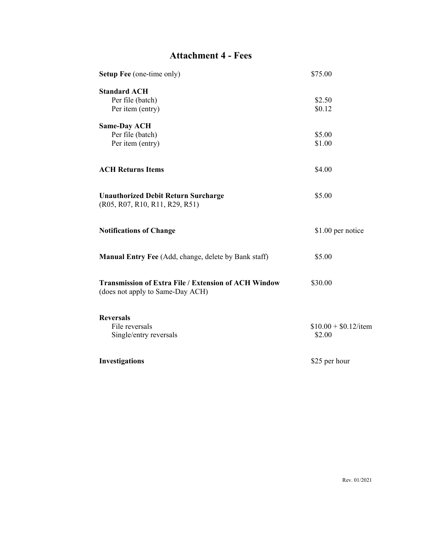# **Attachment 4 - Fees**

| Setup Fee (one-time only)                                                                       | \$75.00                |
|-------------------------------------------------------------------------------------------------|------------------------|
| <b>Standard ACH</b>                                                                             |                        |
| Per file (batch)                                                                                | \$2.50                 |
| Per item (entry)                                                                                | \$0.12                 |
| <b>Same-Day ACH</b>                                                                             |                        |
| Per file (batch)                                                                                | \$5.00                 |
| Per item (entry)                                                                                | \$1.00                 |
| <b>ACH Returns Items</b>                                                                        | \$4.00                 |
| <b>Unauthorized Debit Return Surcharge</b><br>(R05, R07, R10, R11, R29, R51)                    | \$5.00                 |
| <b>Notifications of Change</b>                                                                  | \$1.00 per notice      |
| Manual Entry Fee (Add, change, delete by Bank staff)                                            | \$5.00                 |
| <b>Transmission of Extra File / Extension of ACH Window</b><br>(does not apply to Same-Day ACH) | \$30.00                |
| <b>Reversals</b>                                                                                |                        |
| File reversals                                                                                  | $$10.00 + $0.12$ /item |
| Single/entry reversals                                                                          | \$2.00                 |
| Investigations                                                                                  | \$25 per hour          |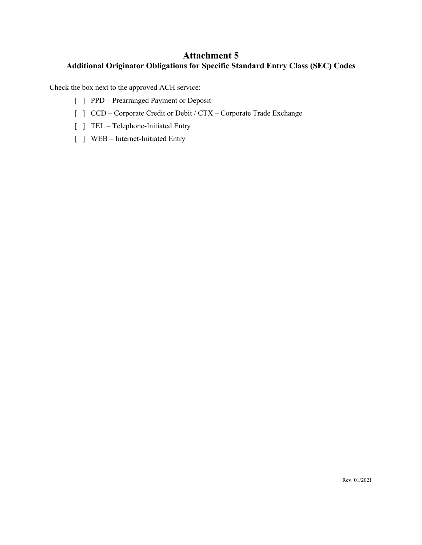### **Attachment 5 Additional Originator Obligations for Specific Standard Entry Class (SEC) Codes**

Check the box next to the approved ACH service:

- [ ] PPD Prearranged Payment or Deposit
- [ ] CCD Corporate Credit or Debit / CTX Corporate Trade Exchange
- [ ] TEL Telephone-Initiated Entry
- [ ] WEB Internet-Initiated Entry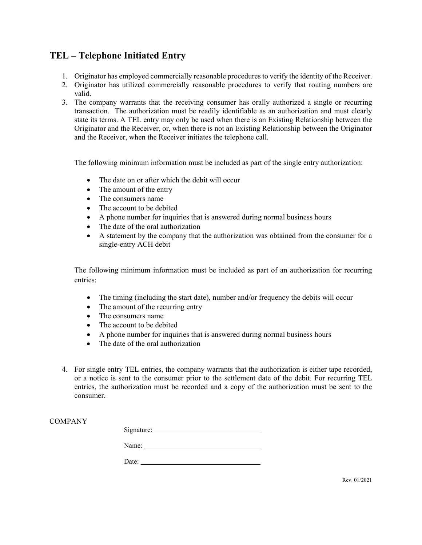# **TEL – Telephone Initiated Entry**

- 1. Originator has employed commercially reasonable procedures to verify the identity of the Receiver.
- 2. Originator has utilized commercially reasonable procedures to verify that routing numbers are valid.
- 3. The company warrants that the receiving consumer has orally authorized a single or recurring transaction. The authorization must be readily identifiable as an authorization and must clearly state its terms. A TEL entry may only be used when there is an Existing Relationship between the Originator and the Receiver, or, when there is not an Existing Relationship between the Originator and the Receiver, when the Receiver initiates the telephone call.

The following minimum information must be included as part of the single entry authorization:

- The date on or after which the debit will occur
- The amount of the entry
- The consumers name
- The account to be debited
- A phone number for inquiries that is answered during normal business hours
- The date of the oral authorization
- A statement by the company that the authorization was obtained from the consumer for a single-entry ACH debit

The following minimum information must be included as part of an authorization for recurring entries:

- The timing (including the start date), number and/or frequency the debits will occur
- The amount of the recurring entry
- The consumers name
- The account to be debited
- A phone number for inquiries that is answered during normal business hours
- The date of the oral authorization
- 4. For single entry TEL entries, the company warrants that the authorization is either tape recorded, or a notice is sent to the consumer prior to the settlement date of the debit. For recurring TEL entries, the authorization must be recorded and a copy of the authorization must be sent to the consumer.

| Signature: |  |
|------------|--|
| Name:      |  |
| Date:      |  |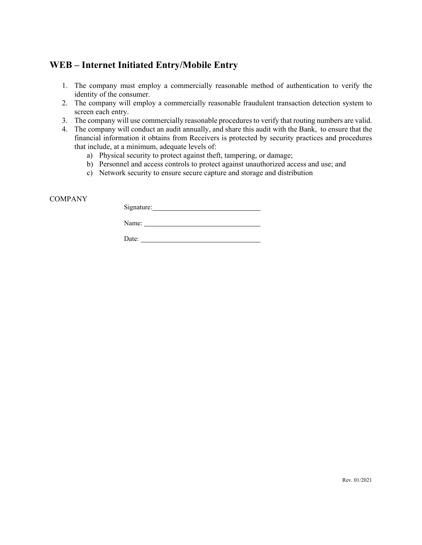# **WEB – Internet Initiated Entry/Mobile Entry**

- 1. The company must employ a commercially reasonable method of authentication to verify the identity of the consumer.
- 2. The company will employ a commercially reasonable fraudulent transaction detection system to screen each entry.
- 3. The company will use commercially reasonable procedures to verify that routing numbers are valid.
- 4. The company will conduct an audit annually, and share this audit with the Bank, to ensure that the financial information it obtains from Receivers is protected by security practices and procedures that include, at a minimum, adequate levels of:
	- a) Physical security to protect against theft, tampering, or damage;
	- b) Personnel and access controls to protect against unauthorized access and use; and
	- c) Network security to ensure secure capture and storage and distribution

### **COMPANY**

Signature: Management of the Signature:

Name:

Date: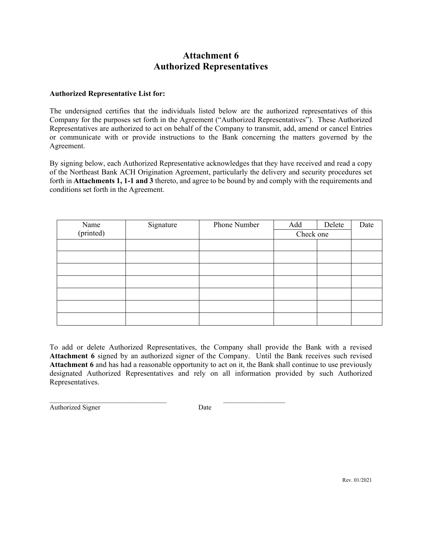# **Attachment 6 Authorized Representatives**

### **Authorized Representative List for:**

The undersigned certifies that the individuals listed below are the authorized representatives of this Company for the purposes set forth in the Agreement ("Authorized Representatives"). These Authorized Representatives are authorized to act on behalf of the Company to transmit, add, amend or cancel Entries or communicate with or provide instructions to the Bank concerning the matters governed by the Agreement.

By signing below, each Authorized Representative acknowledges that they have received and read a copy of the Northeast Bank ACH Origination Agreement, particularly the delivery and security procedures set forth in **Attachments 1, 1-1 and 3** thereto, and agree to be bound by and comply with the requirements and conditions set forth in the Agreement.

|                   | Signature | Phone Number | Add       | Delete | Date |
|-------------------|-----------|--------------|-----------|--------|------|
| Name<br>(printed) |           |              | Check one |        |      |
|                   |           |              |           |        |      |
|                   |           |              |           |        |      |
|                   |           |              |           |        |      |
|                   |           |              |           |        |      |
|                   |           |              |           |        |      |
|                   |           |              |           |        |      |
|                   |           |              |           |        |      |

To add or delete Authorized Representatives, the Company shall provide the Bank with a revised **Attachment 6** signed by an authorized signer of the Company. Until the Bank receives such revised **Attachment 6** and has had a reasonable opportunity to act on it, the Bank shall continue to use previously designated Authorized Representatives and rely on all information provided by such Authorized Representatives.

 $\_$  , and the set of the set of the set of the set of the set of the set of the set of the set of the set of the set of the set of the set of the set of the set of the set of the set of the set of the set of the set of th Authorized Signer Date